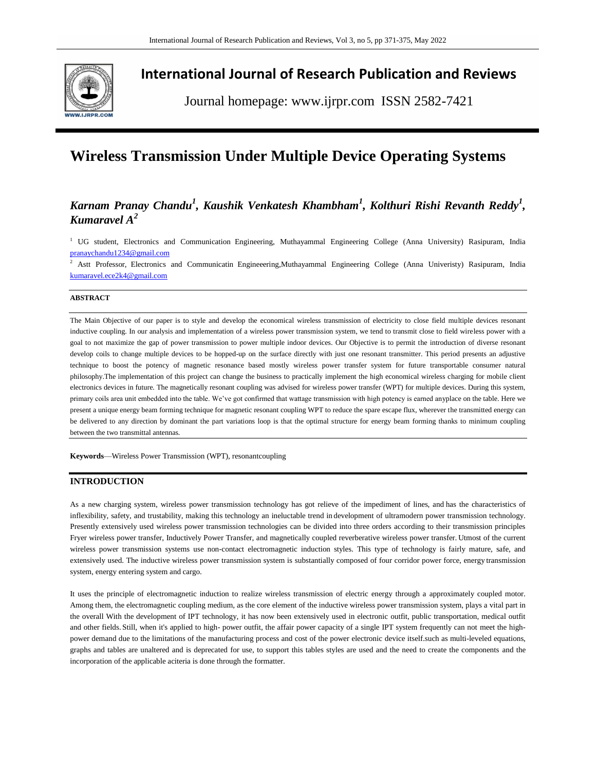

## **International Journal of Research Publication and Reviews**

Journal homepage: www.ijrpr.com ISSN 2582-7421

# **Wireless Transmission Under Multiple Device Operating Systems**

## $K$ arnam Pranay Chandu<sup>1</sup>, Kaushik Venkatesh Khambham<sup>1</sup>, Kolthuri Rishi Revanth Reddy<sup>1</sup>, *Kumaravel A<sup>2</sup>*

<sup>1</sup> UG student, Electronics and Communication Engineering, Muthayammal Engineering College (Anna University) Rasipuram, India [pranaychandu1234@gmail.com](mailto:pranaychandu1234@gmail.com)

<sup>2</sup> Astt Professor, Electronics and Communicatin Engineeering,Muthayammal Engineering College (Anna Univeristy) Rasipuram, India [kumaravel.ece2k4@gmail.com](mailto:kumaravel.ece2k4@gmail.com)

#### **ABSTRACT**

The Main Objective of our paper is to style and develop the economical wireless transmission of electricity to close field multiple devices resonant inductive coupling. In our analysis and implementation of a wireless power transmission system, we tend to transmit close to field wireless power with a goal to not maximize the gap of power transmission to power multiple indoor devices. Our Objective is to permit the introduction of diverse resonant develop coils to change multiple devices to be hopped-up on the surface directly with just one resonant transmitter. This period presents an adjustive technique to boost the potency of magnetic resonance based mostly wireless power transfer system for future transportable consumer natural philosophy.The implementation of this project can change the business to practically implement the high economical wireless charging for mobile client electronics devices in future. The magnetically resonant coupling was advised for wireless power transfer (WPT) for multiple devices. During this system, primary coils area unit embedded into the table. We've got confirmed that wattage transmission with high potency is earned anyplace on the table. Here we present a unique energy beam forming technique for magnetic resonant coupling WPT to reduce the spare escape flux, wherever the transmitted energy can be delivered to any direction by dominant the part variations loop is that the optimal structure for energy beam forming thanks to minimum coupling between the two transmittal antennas.

**Keywords**—Wireless Power Transmission (WPT), resonantcoupling

## **INTRODUCTION**

As a new charging system, wireless power transmission technology has got relieve of the impediment of lines, and has the characteristics of inflexibility, safety, and trustability, making this technology an ineluctable trend in development of ultramodern power transmission technology. Presently extensively used wireless power transmission technologies can be divided into three orders according to their transmission principles Fryer wireless power transfer, Inductively Power Transfer, and magnetically coupled reverberative wireless power transfer. Utmost of the current wireless power transmission systems use non-contact electromagnetic induction styles. This type of technology is fairly mature, safe, and extensively used. The inductive wireless power transmission system is substantially composed of four corridor power force, energy transmission system, energy entering system and cargo.

It uses the principle of electromagnetic induction to realize wireless transmission of electric energy through a approximately coupled motor. Among them, the electromagnetic coupling medium, as the core element of the inductive wireless power transmission system, plays a vital part in the overall With the development of IPT technology, it has now been extensively used in electronic outfit, public transportation, medical outfit and other fields. Still, when it's applied to high- power outfit, the affair power capacity of a single IPT system frequently can not meet the highpower demand due to the limitations of the manufacturing process and cost of the power electronic device itself.such as multi-leveled equations, graphs and tables are unaltered and is deprecated for use, to support this tables styles are used and the need to create the components and the incorporation of the applicable aciteria is done through the formatter.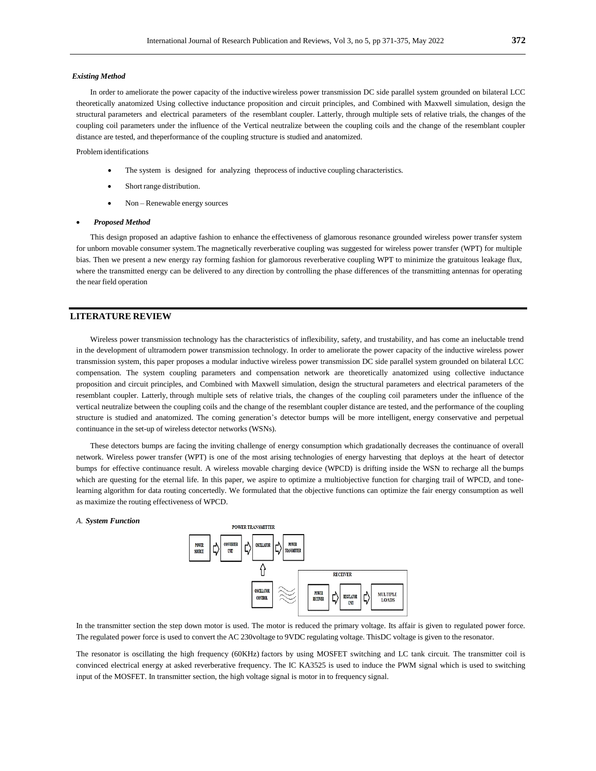#### *Existing Method*

In order to ameliorate the power capacity of the inductive wireless power transmission DC side parallel system grounded on bilateral LCC theoretically anatomized Using collective inductance proposition and circuit principles, and Combined with Maxwell simulation, design the structural parameters and electrical parameters of the resemblant coupler. Latterly, through multiple sets of relative trials, the changes of the coupling coil parameters under the influence of the Vertical neutralize between the coupling coils and the change of the resemblant coupler distance are tested, and theperformance of the coupling structure is studied and anatomized.

#### Problem identifications

- The system is designed for analyzing theprocess of inductive coupling characteristics.
- Short range distribution.
- Non Renewable energy sources

#### *Proposed Method*

This design proposed an adaptive fashion to enhance the effectiveness of glamorous resonance grounded wireless power transfer system for unborn movable consumer system.The magnetically reverberative coupling was suggested for wireless power transfer (WPT) for multiple bias. Then we present a new energy ray forming fashion for glamorous reverberative coupling WPT to minimize the gratuitous leakage flux, where the transmitted energy can be delivered to any direction by controlling the phase differences of the transmitting antennas for operating the near field operation

## **LITERATURE REVIEW**

Wireless power transmission technology has the characteristics of inflexibility, safety, and trustability, and has come an ineluctable trend in the development of ultramodern power transmission technology. In order to ameliorate the power capacity of the inductive wireless power transmission system, this paper proposes a modular inductive wireless power transmission DC side parallel system grounded on bilateral LCC compensation. The system coupling parameters and compensation network are theoretically anatomized using collective inductance proposition and circuit principles, and Combined with Maxwell simulation, design the structural parameters and electrical parameters of the resemblant coupler. Latterly, through multiple sets of relative trials, the changes of the coupling coil parameters under the influence of the vertical neutralize between the coupling coils and the change of the resemblant coupler distance are tested, and the performance of the coupling structure is studied and anatomized. The coming generation's detector bumps will be more intelligent, energy conservative and perpetual continuance in the set-up of wireless detector networks (WSNs).

These detectors bumps are facing the inviting challenge of energy consumption which gradationally decreases the continuance of overall network. Wireless power transfer (WPT) is one of the most arising technologies of energy harvesting that deploys at the heart of detector bumps for effective continuance result. A wireless movable charging device (WPCD) is drifting inside the WSN to recharge all the bumps which are questing for the eternal life. In this paper, we aspire to optimize a multiobjective function for charging trail of WPCD, and tonelearning algorithm for data routing concertedly. We formulated that the objective functions can optimize the fair energy consumption as well as maximize the routing effectiveness of WPCD.

#### *A. System Function*



In the transmitter section the step down motor is used. The motor is reduced the primary voltage. Its affair is given to regulated power force. The regulated power force is used to convert the AC 230voltage to 9VDC regulating voltage. ThisDC voltage is given to the resonator.

The resonator is oscillating the high frequency (60KHz) factors by using MOSFET switching and LC tank circuit. The transmitter coil is convinced electrical energy at asked reverberative frequency. The IC KA3525 is used to induce the PWM signal which is used to switching input of the MOSFET. In transmitter section, the high voltage signal is motor in to frequency signal.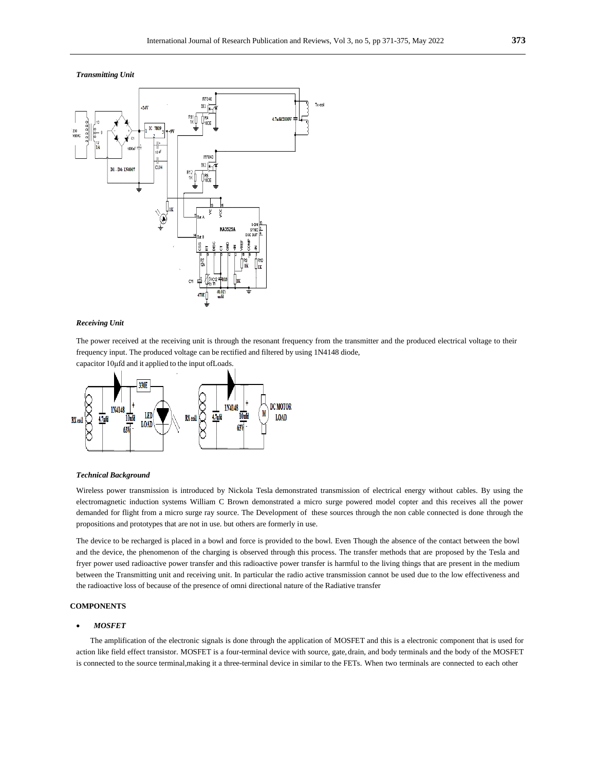*Transmitting Unit*



#### *Receiving Unit*

The power received at the receiving unit is through the resonant frequency from the transmitter and the produced electrical voltage to their frequency input. The produced voltage can be rectified and filtered by using 1N4148 diode,

capacitor 10μfd and it applied to the input ofLoads.



#### *Technical Background*

Wireless power transmission is introduced by Nickola Tesla demonstrated transmission of electrical energy without cables. By using the electromagnetic induction systems William C Brown demonstrated a micro surge powered model copter and this receives all the power demanded for flight from a micro surge ray source. The Development of these sources through the non cable connected is done through the propositions and prototypes that are not in use. but others are formerly in use.

The device to be recharged is placed in a bowl and force is provided to the bowl. Even Though the absence of the contact between the bowl and the device, the phenomenon of the charging is observed through this process. The transfer methods that are proposed by the Tesla and fryer power used radioactive power transfer and this radioactive power transfer is harmful to the living things that are present in the medium between the Transmitting unit and receiving unit. In particular the radio active transmission cannot be used due to the low effectiveness and the radioactive loss of because of the presence of omni directional nature of the Radiative transfer

#### **COMPONENTS**

## *MOSFET*

The amplification of the electronic signals is done through the application of MOSFET and this is a electronic component that is used for action like field effect transistor. MOSFET is a four-terminal device with source, gate,drain, and body terminals and the body of the MOSFET is connected to the source terminal,making it a three-terminal device in similar to the FETs. When two terminals are connected to each other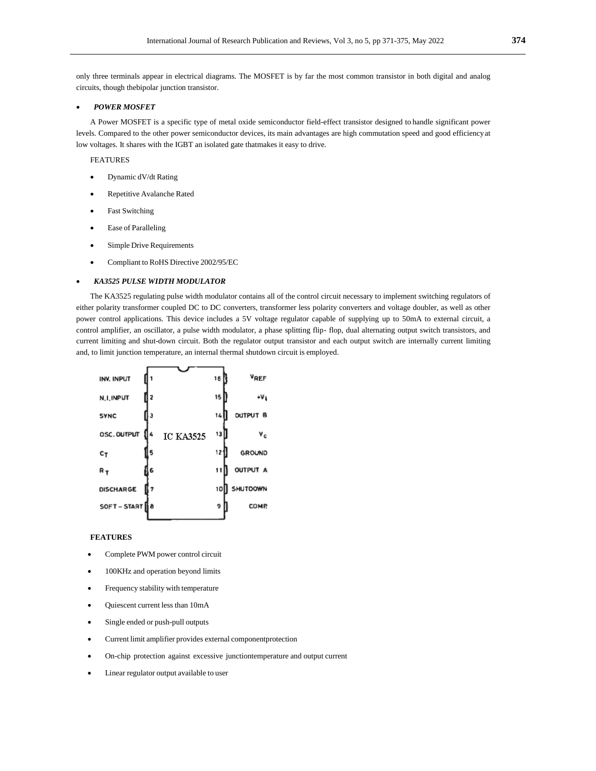only three terminals appear in electrical diagrams. The MOSFET is by far the most common transistor in both digital and analog circuits, though thebipolar junction transistor.

### *POWER MOSFET*

A Power MOSFET is a specific type of metal oxide semiconductor field-effect transistor designed to handle significant power levels. Compared to the other power semiconductor devices, its main advantages are high commutation speed and good efficiencyat low voltages. It shares with the IGBT an isolated gate thatmakes it easy to drive.

#### FEATURES

- Dynamic dV/dt Rating
- Repetitive Avalanche Rated
- Fast Switching
- Ease of Paralleling
- Simple Drive Requirements
- Compliant to RoHS Directive 2002/95/EC

#### *KA3525 PULSE WIDTH MODULATOR*

The KA3525 regulating pulse width modulator contains all of the control circuit necessary to implement switching regulators of either polarity transformer coupled DC to DC converters, transformer less polarity converters and voltage doubler, as well as other power control applications. This device includes a 5V voltage regulator capable of supplying up to 50mA to external circuit, a control amplifier, an oscillator, a pulse width modulator, a phase splitting flip- flop, dual alternating output switch transistors, and current limiting and shut-down circuit. Both the regulator output transistor and each output switch are internally current limiting and, to limit junction temperature, an internal thermal shutdown circuit is employed.

| INV. INPUT       |   |                  | 16 | <b>VREF</b>     |
|------------------|---|------------------|----|-----------------|
| <b>N.I.INPUT</b> |   |                  | 15 | ۰۷،             |
| <b>SYNC</b>      |   |                  | 14 | OUTPUT B        |
| OSC. OUTPUT      |   | <b>IC KA3525</b> | 13 | Yc              |
| $c_{T}$          |   |                  | 12 | <b>GROUND</b>   |
| $R_{T}$          | 6 |                  | 11 | <b>OUTPUT A</b> |
| <b>DISCHARGE</b> | 7 |                  | 10 | SHUTOOWN        |
| SOFT-START 18    |   |                  | 9  | COMP.           |
|                  |   |                  |    |                 |

#### **FEATURES**

- Complete PWM power control circuit
- 100KHz and operation beyond limits
- Frequency stability with temperature
- Quiescent current less than 10mA
- Single ended or push-pull outputs
- Current limit amplifier provides external componentprotection
- On-chip protection against excessive junctiontemperature and output current
- Linear regulator output available to user